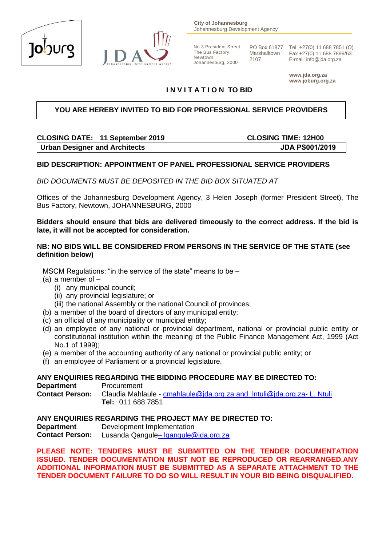



**City of Johannesburg** Johannesburg Development Agency

No 3 President Street The Bus Factory Newtown Johannesburg, 2000

Marshalltown 2107

PO Box 61877 Tel +27(0) 11 688 7851 (O) Fax +27(0) 11 688 7899/63 E-mail: info@jda.org.za

> **www.jda.org.za www.joburg.org.za**

# **I N V I T A T I O N TO BID**

### **YOU ARE HEREBY INVITED TO BID FOR PROFESSIONAL SERVICE PROVIDERS**

# **CLOSING DATE: 11 September 2019 CLOSING TIME: 12H00 Urban Designer and Architects JDA PS001/2019**

#### **BID DESCRIPTION: APPOINTMENT OF PANEL PROFESSIONAL SERVICE PROVIDERS**

*BID DOCUMENTS MUST BE DEPOSITED IN THE BID BOX SITUATED AT*

Offices of the Johannesburg Development Agency, 3 Helen Joseph (former President Street), The Bus Factory, Newtown, JOHANNESBURG, 2000

#### **Bidders should ensure that bids are delivered timeously to the correct address. If the bid is late, it will not be accepted for consideration.**

#### **NB: NO BIDS WILL BE CONSIDERED FROM PERSONS IN THE SERVICE OF THE STATE (see definition below)**

MSCM Regulations: "in the service of the state" means to be –

- (a) a member of
	- (i) any municipal council;
	- (ii) any provincial legislature; or
	- (iii) the national Assembly or the national Council of provinces;
- (b) a member of the board of directors of any municipal entity;
- (c) an official of any municipality or municipal entity;
- (d) an employee of any national or provincial department, national or provincial public entity or constitutional institution within the meaning of the Public Finance Management Act, 1999 (Act No.1 of 1999);
- (e) a member of the accounting authority of any national or provincial public entity; or
- (f) an employee of Parliament or a provincial legislature.

#### **ANY ENQUIRIES REGARDING THE BIDDING PROCEDURE MAY BE DIRECTED TO:**

**Department** Procurement **Contact Person:** Claudia Mahlaule - [cmahlaule@jda.org.za](mailto:cmahlaule@jda.org.za) and [lntuli@jda.org.za-](mailto:lntuli@jda.org.za-) L. Ntuli **Tel:** 011 688 7851

#### **ANY ENQUIRIES REGARDING THE PROJECT MAY BE DIRECTED TO:**

**Department Development Implementation Contact Person:** Lusanda Qangule– [lqangule@jda.org.za](mailto:–%20lqangule@jda.org.za)

**PLEASE NOTE: TENDERS MUST BE SUBMITTED ON THE TENDER DOCUMENTATION ISSUED. TENDER DOCUMENTATION MUST NOT BE REPRODUCED OR REARRANGED.ANY ADDITIONAL INFORMATION MUST BE SUBMITTED AS A SEPARATE ATTACHMENT TO THE TENDER DOCUMENT FAILURE TO DO SO WILL RESULT IN YOUR BID BEING DISQUALIFIED.**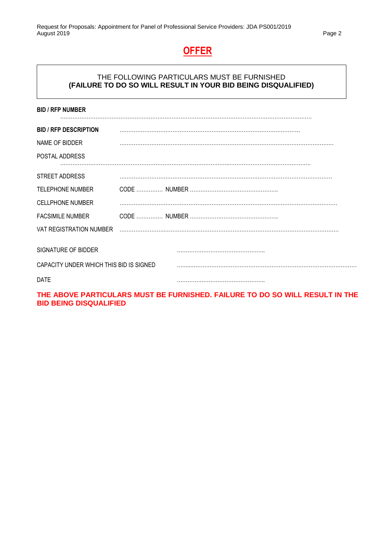# **OFFER**

### THE FOLLOWING PARTICULARS MUST BE FURNISHED **(FAILURE TO DO SO WILL RESULT IN YOUR BID BEING DISQUALIFIED)**

| <b>BID / RFP NUMBER</b>                 |  |
|-----------------------------------------|--|
|                                         |  |
| <b>BID / RFP DESCRIPTION</b>            |  |
| NAME OF BIDDER                          |  |
| POSTAL ADDRESS                          |  |
|                                         |  |
| <b>STREET ADDRESS</b>                   |  |
| <b>TELEPHONE NUMBER</b>                 |  |
| <b>CELLPHONE NUMBER</b>                 |  |
| <b>FACSIMILE NUMBER</b>                 |  |
| VAT REGISTRATION NUMBER                 |  |
| SIGNATURE OF BIDDER                     |  |
| CAPACITY UNDER WHICH THIS BID IS SIGNED |  |
| <b>DATE</b>                             |  |

**THE ABOVE PARTICULARS MUST BE FURNISHED. FAILURE TO DO SO WILL RESULT IN THE BID BEING DISQUALIFIED**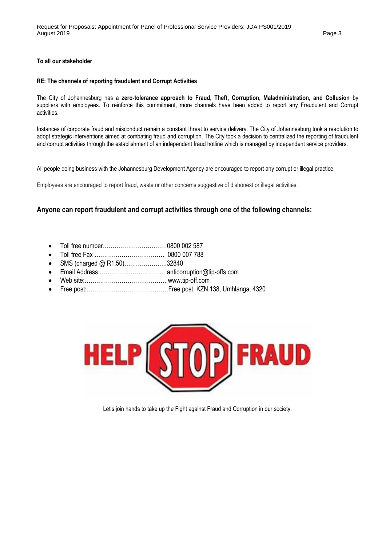#### **To all our stakeholder**

#### **RE: The channels of reporting fraudulent and Corrupt Activities**

The City of Johannesburg has a **zero-tolerance approach to Fraud, Theft, Corruption, Maladministration, and Collusion** by suppliers with employees. To reinforce this commitment, more channels have been added to report any Fraudulent and Corrupt activities.

Instances of corporate fraud and misconduct remain a constant threat to service delivery. The City of Johannesburg took a resolution to adopt strategic interventions aimed at combating fraud and corruption. The City took a decision to centralized the reporting of fraudulent and corrupt activities through the establishment of an independent fraud hotline which is managed by independent service providers.

All people doing business with the Johannesburg Development Agency are encouraged to report any corrupt or illegal practice.

Employees are encouraged to report fraud, waste or other concerns suggestive of dishonest or illegal activities.

#### **Anyone can report fraudulent and corrupt activities through one of the following channels:**

- Toll free number……………………………0800 002 587
- Toll free Fax ……………………………… 0800 007 788
- SMS (charged @ R1.50).......................32840
- Email Address:…………………………… anticorruption@tip-offs.com
- Web site:…………………………………… www.tip-off.com
- Free post:……………………………………Free post, KZN 138, Umhlanga, 4320



Let's join hands to take up the Fight against Fraud and Corruption in our society.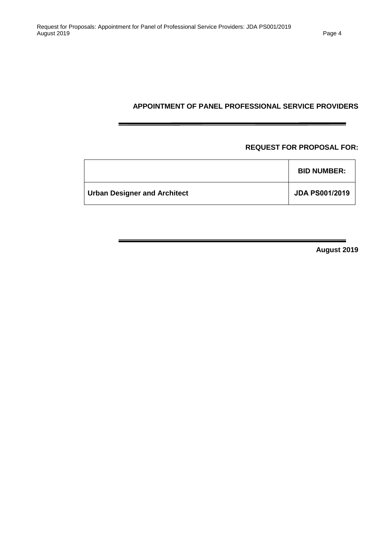### **APPOINTMENT OF PANEL PROFESSIONAL SERVICE PROVIDERS**

### **REQUEST FOR PROPOSAL FOR:**

|                                     | <b>BID NUMBER:</b>    |
|-------------------------------------|-----------------------|
| <b>Urban Designer and Architect</b> | <b>JDA PS001/2019</b> |

**August 2019**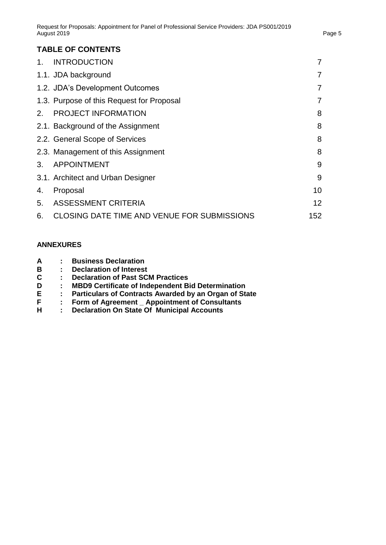# **TABLE OF CONTENTS**

| 1 <sub>1</sub> | <b>INTRODUCTION</b>                                | $\overline{7}$  |
|----------------|----------------------------------------------------|-----------------|
|                | 1.1. JDA background                                | 7               |
|                | 1.2. JDA's Development Outcomes                    | $\overline{7}$  |
|                | 1.3. Purpose of this Request for Proposal          | $\overline{7}$  |
| 2.             | <b>PROJECT INFORMATION</b>                         | 8               |
|                | 2.1. Background of the Assignment                  | 8               |
|                | 2.2. General Scope of Services                     | 8               |
|                | 2.3. Management of this Assignment                 | 8               |
| 3.             | <b>APPOINTMENT</b>                                 | 9               |
|                | 3.1. Architect and Urban Designer                  | 9               |
| 4.             | Proposal                                           | 10 <sup>1</sup> |
| 5.             | <b>ASSESSMENT CRITERIA</b>                         | 12 <sup>2</sup> |
| 6.             | <b>CLOSING DATE TIME AND VENUE FOR SUBMISSIONS</b> | 152             |

# **ANNEXURES**

| Α |  | <b>Business Declaration</b> |
|---|--|-----------------------------|
|   |  |                             |

- **B : Declaration of Interest**
- **C : Declaration of Past SCM Practices**
- 
- **D : MBD9 Certificate of Independent Bid Determination E : Particulars of Contracts Awarded by an Organ of State**
- **F : Form of Agreement \_ Appointment of Consultants**
- **H : Declaration On State Of Municipal Accounts**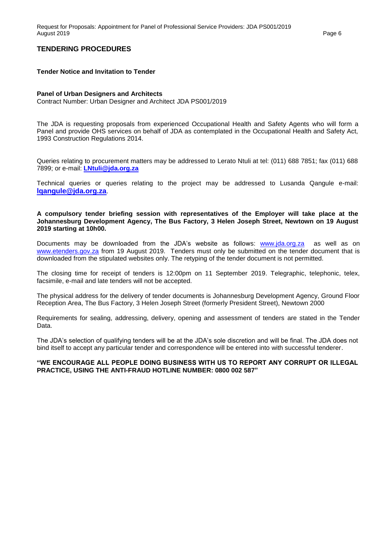#### **TENDERING PROCEDURES**

#### **Tender Notice and Invitation to Tender**

#### **Panel of Urban Designers and Architects**

Contract Number: Urban Designer and Architect JDA PS001/2019

The JDA is requesting proposals from experienced Occupational Health and Safety Agents who will form a Panel and provide OHS services on behalf of JDA as contemplated in the Occupational Health and Safety Act, 1993 Construction Regulations 2014.

Queries relating to procurement matters may be addressed to Lerato Ntuli at tel: (011) 688 7851; fax (011) 688 7899; or e-mail: **[LNtuli@jda.org.za](mailto:LNtuli@jda.org.za)**

Technical queries or queries relating to the project may be addressed to Lusanda Qangule e-mail: **[lqangule@jda.org.za](mailto:lqangule@jda.org.za)**.

**A compulsory tender briefing session with representatives of the Employer will take place at the Johannesburg Development Agency, The Bus Factory, 3 Helen Joseph Street, Newtown on 19 August 2019 starting at 10h00.**

Documents may be downloaded from the JDA's website as follows: [www.jda.org.za](http://www.jda.org.za/) as well as on [www.etenders.gov.za](http://www.etenders.gov.za/) from 19 August 2019. Tenders must only be submitted on the tender document that is downloaded from the stipulated websites only. The retyping of the tender document is not permitted.

The closing time for receipt of tenders is 12:00pm on 11 September 2019. Telegraphic, telephonic, telex, facsimile, e-mail and late tenders will not be accepted.

The physical address for the delivery of tender documents is Johannesburg Development Agency, Ground Floor Reception Area, The Bus Factory, 3 Helen Joseph Street (formerly President Street), Newtown 2000

Requirements for sealing, addressing, delivery, opening and assessment of tenders are stated in the Tender Data.

The JDA's selection of qualifying tenders will be at the JDA's sole discretion and will be final. The JDA does not bind itself to accept any particular tender and correspondence will be entered into with successful tenderer.

#### **"WE ENCOURAGE ALL PEOPLE DOING BUSINESS WITH US TO REPORT ANY CORRUPT OR ILLEGAL PRACTICE, USING THE ANTI-FRAUD HOTLINE NUMBER: 0800 002 587"**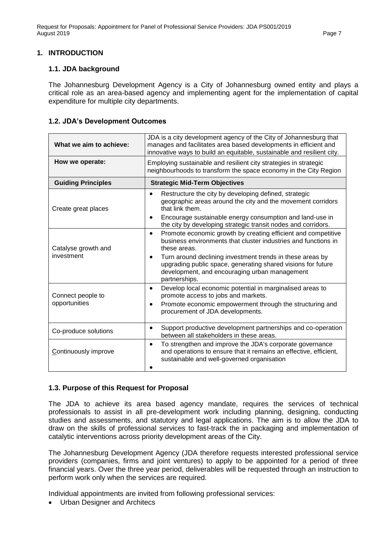#### <span id="page-6-0"></span>**1. INTRODUCTION**

#### <span id="page-6-1"></span>**1.1. JDA background**

The Johannesburg Development Agency is a City of Johannesburg owned entity and plays a critical role as an area-based agency and implementing agent for the implementation of capital expenditure for multiple city departments.

#### <span id="page-6-2"></span>**1.2. JDA's Development Outcomes**

| What we aim to achieve:            | JDA is a city development agency of the City of Johannesburg that<br>manages and facilitates area based developments in efficient and<br>innovative ways to build an equitable, sustainable and resilient city.                                                                                                                                                                                                              |  |  |
|------------------------------------|------------------------------------------------------------------------------------------------------------------------------------------------------------------------------------------------------------------------------------------------------------------------------------------------------------------------------------------------------------------------------------------------------------------------------|--|--|
| How we operate:                    | Employing sustainable and resilient city strategies in strategic<br>neighbourhoods to transform the space economy in the City Region                                                                                                                                                                                                                                                                                         |  |  |
| <b>Guiding Principles</b>          | <b>Strategic Mid-Term Objectives</b>                                                                                                                                                                                                                                                                                                                                                                                         |  |  |
| Create great places                | Restructure the city by developing defined, strategic<br>geographic areas around the city and the movement corridors<br>that link them.<br>Encourage sustainable energy consumption and land-use in<br>$\bullet$                                                                                                                                                                                                             |  |  |
| Catalyse growth and<br>investment  | the city by developing strategic transit nodes and corridors.<br>Promote economic growth by creating efficient and competitive<br>$\bullet$<br>business environments that cluster industries and functions in<br>these areas.<br>Turn around declining investment trends in these areas by<br>upgrading public space, generating shared visions for future<br>development, and encouraging urban management<br>partnerships. |  |  |
| Connect people to<br>opportunities | Develop local economic potential in marginalised areas to<br>$\bullet$<br>promote access to jobs and markets.<br>Promote economic empowerment through the structuring and<br>$\bullet$<br>procurement of JDA developments.                                                                                                                                                                                                   |  |  |
| Co-produce solutions               | Support productive development partnerships and co-operation<br>between all stakeholders in these areas.                                                                                                                                                                                                                                                                                                                     |  |  |
| Continuously improve               | To strengthen and improve the JDA's corporate governance<br>$\bullet$<br>and operations to ensure that it remains an effective, efficient,<br>sustainable and well-governed organisation                                                                                                                                                                                                                                     |  |  |

#### <span id="page-6-3"></span>**1.3. Purpose of this Request for Proposal**

The JDA to achieve its area based agency mandate, requires the services of technical professionals to assist in all pre-development work including planning, designing, conducting studies and assessments, and statutory and legal applications. The aim is to allow the JDA to draw on the skills of professional services to fast-track the in packaging and implementation of catalytic interventions across priority development areas of the City.

The Johannesburg Development Agency (JDA therefore requests interested professional service providers (companies, firms and joint ventures) to apply to be appointed for a period of three financial years. Over the three year period, deliverables will be requested through an instruction to perform work only when the services are required.

Individual appointments are invited from following professional services:

• Urban Designer and Architecs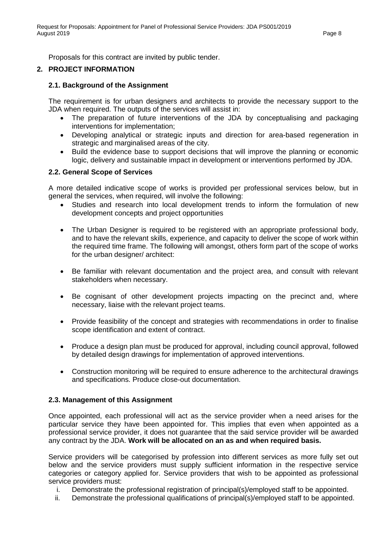Proposals for this contract are invited by public tender.

### <span id="page-7-0"></span>**2. PROJECT INFORMATION**

#### <span id="page-7-1"></span>**2.1. Background of the Assignment**

The requirement is for urban designers and architects to provide the necessary support to the JDA when required. The outputs of the services will assist in:

- The preparation of future interventions of the JDA by conceptualising and packaging interventions for implementation;
- Developing analytical or strategic inputs and direction for area-based regeneration in strategic and marginalised areas of the city.
- Build the evidence base to support decisions that will improve the planning or economic logic, delivery and sustainable impact in development or interventions performed by JDA.

#### <span id="page-7-2"></span>**2.2. General Scope of Services**

A more detailed indicative scope of works is provided per professional services below, but in general the services, when required, will involve the following:

- Studies and research into local development trends to inform the formulation of new development concepts and project opportunities
- <span id="page-7-3"></span>• The Urban Designer is required to be registered with an appropriate professional body, and to have the relevant skills, experience, and capacity to deliver the scope of work within the required time frame. The following will amongst, others form part of the scope of works for the urban designer/ architect:
- Be familiar with relevant documentation and the project area, and consult with relevant stakeholders when necessary.
- Be cognisant of other development projects impacting on the precinct and, where necessary, liaise with the relevant project teams.
- Provide feasibility of the concept and strategies with recommendations in order to finalise scope identification and extent of contract.
- Produce a design plan must be produced for approval, including council approval, followed by detailed design drawings for implementation of approved interventions.
- Construction monitoring will be required to ensure adherence to the architectural drawings and specifications. Produce close-out documentation.

#### **2.3. Management of this Assignment**

Once appointed, each professional will act as the service provider when a need arises for the particular service they have been appointed for. This implies that even when appointed as a professional service provider, it does not guarantee that the said service provider will be awarded any contract by the JDA. **Work will be allocated on an as and when required basis.**

Service providers will be categorised by profession into different services as more fully set out below and the service providers must supply sufficient information in the respective service categories or category applied for. Service providers that wish to be appointed as professional service providers must:

- i. Demonstrate the professional registration of principal(s)/employed staff to be appointed.
- ii. Demonstrate the professional qualifications of principal(s)/employed staff to be appointed.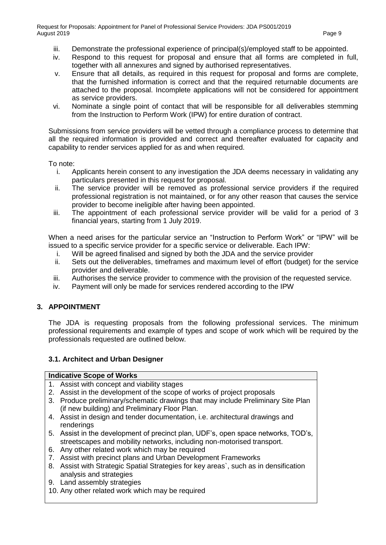- iii. Demonstrate the professional experience of principal(s)/employed staff to be appointed.
- iv. Respond to this request for proposal and ensure that all forms are completed in full, together with all annexures and signed by authorised representatives.
- v. Ensure that all details, as required in this request for proposal and forms are complete, that the furnished information is correct and that the required returnable documents are attached to the proposal. Incomplete applications will not be considered for appointment as service providers.
- vi. Nominate a single point of contact that will be responsible for all deliverables stemming from the Instruction to Perform Work (IPW) for entire duration of contract.

Submissions from service providers will be vetted through a compliance process to determine that all the required information is provided and correct and thereafter evaluated for capacity and capability to render services applied for as and when required.

To note:

- i. Applicants herein consent to any investigation the JDA deems necessary in validating any particulars presented in this request for proposal.
- ii. The service provider will be removed as professional service providers if the required professional registration is not maintained, or for any other reason that causes the service provider to become ineligible after having been appointed.
- iii. The appointment of each professional service provider will be valid for a period of 3 financial years, starting from 1 July 2019.

When a need arises for the particular service an "Instruction to Perform Work" or "IPW" will be issued to a specific service provider for a specific service or deliverable. Each IPW:

- i. Will be agreed finalised and signed by both the JDA and the service provider
- ii. Sets out the deliverables, timeframes and maximum level of effort (budget) for the service provider and deliverable.
- iii. Authorises the service provider to commence with the provision of the requested service.
- iv. Payment will only be made for services rendered according to the IPW

#### <span id="page-8-0"></span>**3. APPOINTMENT**

The JDA is requesting proposals from the following professional services. The minimum professional requirements and example of types and scope of work which will be required by the professionals requested are outlined below.

#### <span id="page-8-1"></span>**3.1. Architect and Urban Designer**

#### **Indicative Scope of Works**

- 1. Assist with concept and viability stages
- 2. Assist in the development of the scope of works of project proposals
- 3. Produce preliminary/schematic drawings that may include Preliminary Site Plan (if new building) and Preliminary Floor Plan.
- 4. Assist in design and tender documentation, i.e. architectural drawings and renderings
- 5. Assist in the development of precinct plan, UDF's, open space networks, TOD's, streetscapes and mobility networks, including non-motorised transport.
- 6. Any other related work which may be required
- 7. Assist with precinct plans and Urban Development Frameworks
- 8. Assist with Strategic Spatial Strategies for key areas`, such as in densification analysis and strategies
- 9. Land assembly strategies
- 10. Any other related work which may be required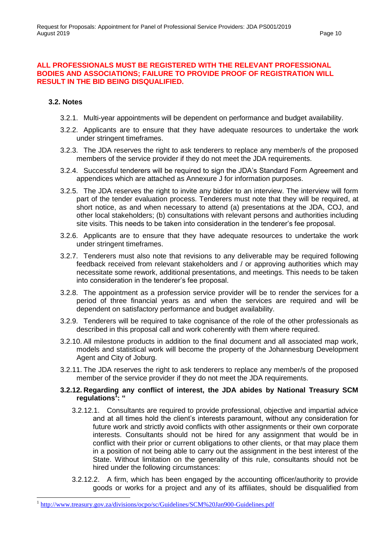#### **ALL PROFESSIONALS MUST BE REGISTERED WITH THE RELEVANT PROFESSIONAL BODIES AND ASSOCIATIONS; FAILURE TO PROVIDE PROOF OF REGISTRATION WILL RESULT IN THE BID BEING DISQUALIFIED.**

#### **3.2. Notes**

- 3.2.1. Multi-year appointments will be dependent on performance and budget availability.
- 3.2.2. Applicants are to ensure that they have adequate resources to undertake the work under stringent timeframes.
- 3.2.3. The JDA reserves the right to ask tenderers to replace any member/s of the proposed members of the service provider if they do not meet the JDA requirements.
- 3.2.4. Successful tenderers will be required to sign the JDA's Standard Form Agreement and appendices which are attached as Annexure J for information purposes.
- 3.2.5. The JDA reserves the right to invite any bidder to an interview. The interview will form part of the tender evaluation process. Tenderers must note that they will be required, at short notice, as and when necessary to attend (a) presentations at the JDA, COJ, and other local stakeholders; (b) consultations with relevant persons and authorities including site visits. This needs to be taken into consideration in the tenderer's fee proposal.
- 3.2.6. Applicants are to ensure that they have adequate resources to undertake the work under stringent timeframes.
- 3.2.7. Tenderers must also note that revisions to any deliverable may be required following feedback received from relevant stakeholders and / or approving authorities which may necessitate some rework, additional presentations, and meetings. This needs to be taken into consideration in the tenderer's fee proposal.
- 3.2.8. The appointment as a profession service provider will be to render the services for a period of three financial years as and when the services are required and will be dependent on satisfactory performance and budget availability.
- 3.2.9. Tenderers will be required to take cognisance of the role of the other professionals as described in this proposal call and work coherently with them where required.
- 3.2.10. All milestone products in addition to the final document and all associated map work, models and statistical work will become the property of the Johannesburg Development Agent and City of Joburg.
- 3.2.11. The JDA reserves the right to ask tenderers to replace any member/s of the proposed member of the service provider if they do not meet the JDA requirements.

#### **3.2.12. Regarding any conflict of interest, the JDA abides by National Treasury SCM regulations<sup>1</sup> : "**

- 3.2.12.1. Consultants are required to provide professional, objective and impartial advice and at all times hold the client's interests paramount, without any consideration for future work and strictly avoid conflicts with other assignments or their own corporate interests. Consultants should not be hired for any assignment that would be in conflict with their prior or current obligations to other clients, or that may place them in a position of not being able to carry out the assignment in the best interest of the State. Without limitation on the generality of this rule, consultants should not be hired under the following circumstances:
- 3.2.12.2. A firm, which has been engaged by the accounting officer/authority to provide goods or works for a project and any of its affiliates, should be disqualified from

<sup>&</sup>lt;sup>1</sup> <http://www.treasury.gov.za/divisions/ocpo/sc/Guidelines/SCM%20Jan900-Guidelines.pdf>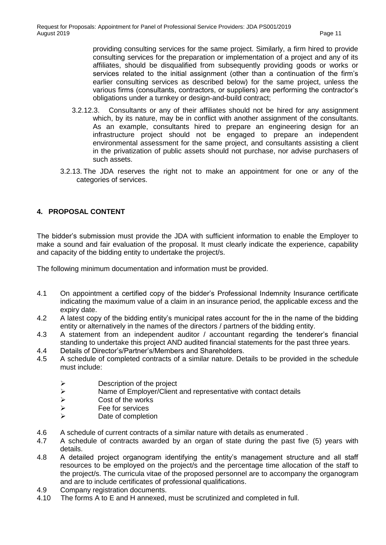providing consulting services for the same project. Similarly, a firm hired to provide consulting services for the preparation or implementation of a project and any of its affiliates, should be disqualified from subsequently providing goods or works or services related to the initial assignment (other than a continuation of the firm's earlier consulting services as described below) for the same project, unless the various firms (consultants, contractors, or suppliers) are performing the contractor's obligations under a turnkey or design-and-build contract;

- 3.2.12.3. Consultants or any of their affiliates should not be hired for any assignment which, by its nature, may be in conflict with another assignment of the consultants. As an example, consultants hired to prepare an engineering design for an infrastructure project should not be engaged to prepare an independent environmental assessment for the same project, and consultants assisting a client in the privatization of public assets should not purchase, nor advise purchasers of such assets.
- 3.2.13. The JDA reserves the right not to make an appointment for one or any of the categories of services.

### **4. PROPOSAL CONTENT**

The bidder's submission must provide the JDA with sufficient information to enable the Employer to make a sound and fair evaluation of the proposal. It must clearly indicate the experience, capability and capacity of the bidding entity to undertake the project/s.

The following minimum documentation and information must be provided.

- 4.1 On appointment a certified copy of the bidder's Professional Indemnity Insurance certificate indicating the maximum value of a claim in an insurance period, the applicable excess and the expiry date.
- 4.2 A latest copy of the bidding entity's municipal rates account for the in the name of the bidding entity or alternatively in the names of the directors / partners of the bidding entity.
- 4.3 A statement from an independent auditor / accountant regarding the tenderer's financial standing to undertake this project AND audited financial statements for the past three years.
- 4.4 Details of Director's/Partner's/Members and Shareholders.
- 4.5 A schedule of completed contracts of a similar nature. Details to be provided in the schedule must include:
	- $\triangleright$  Description of the project
	- $\triangleright$  Name of Employer/Client and representative with contact details  $\triangleright$
	- → Cost of the works<br>→ Fee for services
	- $\triangleright$  Fee for services<br> $\triangleright$  Date of completic
	- Date of completion
- 4.6 A schedule of current contracts of a similar nature with details as enumerated .
- 4.7 A schedule of contracts awarded by an organ of state during the past five (5) years with details.
- 4.8 A detailed project organogram identifying the entity's management structure and all staff resources to be employed on the project/s and the percentage time allocation of the staff to the project/s. The curricula vitae of the proposed personnel are to accompany the organogram and are to include certificates of professional qualifications.
- 4.9 Company registration documents.
- 4.10 The forms A to E and H annexed, must be scrutinized and completed in full.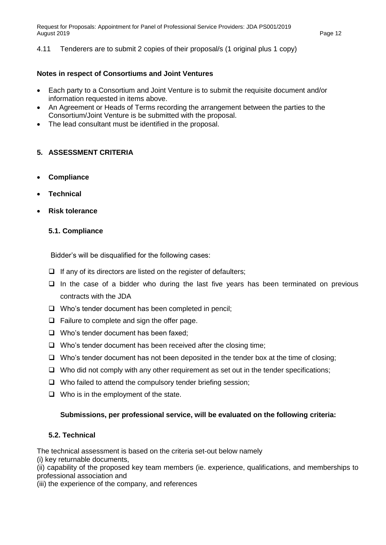4.11 Tenderers are to submit 2 copies of their proposal/s (1 original plus 1 copy)

#### **Notes in respect of Consortiums and Joint Ventures**

- Each party to a Consortium and Joint Venture is to submit the requisite document and/or information requested in items above.
- An Agreement or Heads of Terms recording the arrangement between the parties to the Consortium/Joint Venture is be submitted with the proposal.
- The lead consultant must be identified in the proposal.

#### <span id="page-11-0"></span>**5. ASSESSMENT CRITERIA**

- **Compliance**
- **Technical**
- **Risk tolerance**

#### **5.1. Compliance**

Bidder's will be disqualified for the following cases:

- $\Box$  If any of its directors are listed on the register of defaulters;
- $\Box$  In the case of a bidder who during the last five years has been terminated on previous contracts with the JDA
- $\Box$  Who's tender document has been completed in pencil;
- $\Box$  Failure to complete and sign the offer page.
- $\Box$  Who's tender document has been faxed;
- $\Box$  Who's tender document has been received after the closing time;
- $\Box$  Who's tender document has not been deposited in the tender box at the time of closing:
- $\Box$  Who did not comply with any other requirement as set out in the tender specifications;
- $\Box$  Who failed to attend the compulsory tender briefing session;
- $\Box$  Who is in the employment of the state.

#### **Submissions, per professional service, will be evaluated on the following criteria:**

#### **5.2. Technical**

The technical assessment is based on the criteria set-out below namely

(i) key returnable documents,

(ii) capability of the proposed key team members (ie. experience, qualifications, and memberships to professional association and

(iii) the experience of the company, and references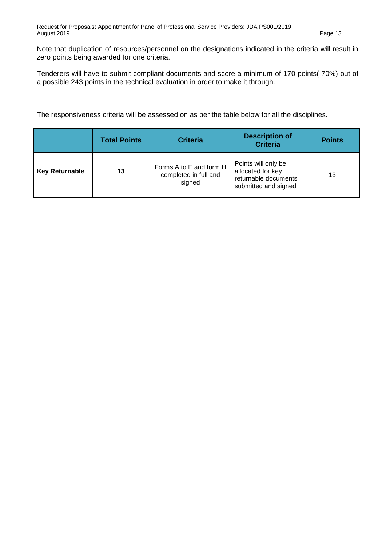Note that duplication of resources/personnel on the designations indicated in the criteria will result in zero points being awarded for one criteria.

Tenderers will have to submit compliant documents and score a minimum of 170 points( 70%) out of a possible 243 points in the technical evaluation in order to make it through.

The responsiveness criteria will be assessed on as per the table below for all the disciplines.

|                       | <b>Total Points</b> | <b>Criteria</b>                                            | <b>Description of</b><br><b>Criteria</b>                                                 | <b>Points</b> |
|-----------------------|---------------------|------------------------------------------------------------|------------------------------------------------------------------------------------------|---------------|
| <b>Key Returnable</b> | 13                  | Forms A to E and form H<br>completed in full and<br>signed | Points will only be<br>allocated for key<br>returnable documents<br>submitted and signed | 13            |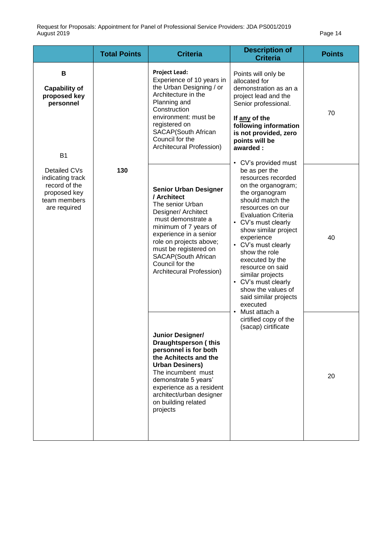<span id="page-13-0"></span>

|                                                                                                   | <b>Total Points</b> | <b>Criteria</b>                                                                                                                                                                                                                                                                           | <b>Description of</b><br><b>Criteria</b>                                                                                                                                                                                                                                                                                                                                                                                                                                                                | <b>Points</b> |
|---------------------------------------------------------------------------------------------------|---------------------|-------------------------------------------------------------------------------------------------------------------------------------------------------------------------------------------------------------------------------------------------------------------------------------------|---------------------------------------------------------------------------------------------------------------------------------------------------------------------------------------------------------------------------------------------------------------------------------------------------------------------------------------------------------------------------------------------------------------------------------------------------------------------------------------------------------|---------------|
| B<br><b>Capability of</b><br>proposed key<br>personnel<br><b>B1</b>                               |                     | <b>Project Lead:</b><br>Experience of 10 years in<br>the Urban Designing / or<br>Architecture in the<br>Planning and<br>Construction<br>environment: must be<br>registered on<br>SACAP(South African<br>Council for the<br>Architecural Profession)                                       | Points will only be<br>allocated for<br>demonstration as an a<br>project lead and the<br>Senior professional.<br>If any of the<br>following information<br>is not provided, zero<br>points will be<br>awarded:                                                                                                                                                                                                                                                                                          | 70            |
| Detailed CVs<br>indicating track<br>record of the<br>proposed key<br>team members<br>are required | 130                 | <b>Senior Urban Designer</b><br>/ Architect<br>The senior Urban<br>Designer/ Architect<br>must demonstrate a<br>minimum of 7 years of<br>experience in a senior<br>role on projects above;<br>must be registered on<br>SACAP(South African<br>Council for the<br>Architecural Profession) | CV's provided must<br>be as per the<br>resources recorded<br>on the organogram;<br>the organogram<br>should match the<br>resources on our<br><b>Evaluation Criteria</b><br>• CV's must clearly<br>show similar project<br>experience<br>• CV's must clearly<br>show the role<br>executed by the<br>resource on said<br>similar projects<br>• CV's must clearly<br>show the values of<br>said similar projects<br>executed<br>Must attach a<br>$\bullet$<br>cirtified copy of the<br>(sacap) cirtificate | 40            |
|                                                                                                   |                     | Junior Designer/<br>Draughtsperson (this<br>personnel is for both<br>the Achitects and the<br><b>Urban Desiners)</b><br>The incumbent must<br>demonstrate 5 years'<br>experience as a resident<br>architect/urban designer<br>on building related<br>projects                             |                                                                                                                                                                                                                                                                                                                                                                                                                                                                                                         | 20            |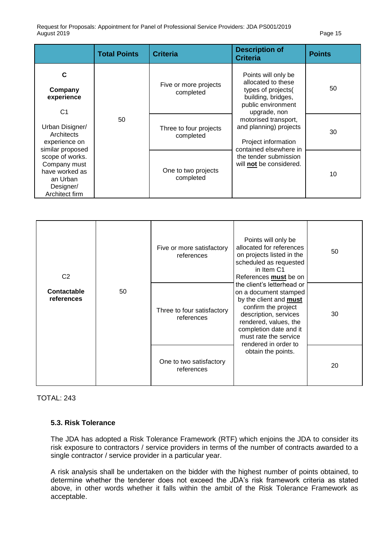|                                                                                              | <b>Total Points</b> | <b>Criteria</b>                     | <b>Description of</b><br><b>Criteria</b>                                                                                                            | <b>Points</b> |
|----------------------------------------------------------------------------------------------|---------------------|-------------------------------------|-----------------------------------------------------------------------------------------------------------------------------------------------------|---------------|
| C<br>Company<br>experience<br>C <sub>1</sub>                                                 | 50                  | Five or more projects<br>completed  | Points will only be<br>allocated to these<br>types of projects(<br>building, bridges,<br>public environment<br>upgrade, non                         | 50            |
| Urban Disigner/<br>Architects<br>experience on<br>similar proposed                           |                     | Three to four projects<br>completed | motorised transport,<br>and planning) projects<br>Project information<br>contained elsewhere in<br>the tender submission<br>will not be considered. | 30            |
| scope of works.<br>Company must<br>have worked as<br>an Urban<br>Designer/<br>Architect firm |                     | One to two projects<br>completed    |                                                                                                                                                     | 10            |

| C <sub>2</sub>            |    | Five or more satisfactory<br>references  | Points will only be<br>allocated for references<br>on projects listed in the<br>scheduled as requested<br>in Item C1<br>References must be on<br>the client's letterhead or<br>on a document stamped<br>by the client and <b>must</b><br>confirm the project<br>description, services<br>rendered, values, the<br>completion date and it<br>must rate the service | 50 |
|---------------------------|----|------------------------------------------|-------------------------------------------------------------------------------------------------------------------------------------------------------------------------------------------------------------------------------------------------------------------------------------------------------------------------------------------------------------------|----|
| Contactable<br>references | 50 | Three to four satisfactory<br>references |                                                                                                                                                                                                                                                                                                                                                                   | 30 |
|                           |    | One to two satisfactory<br>references    | rendered in order to<br>obtain the points.                                                                                                                                                                                                                                                                                                                        | 20 |

#### TOTAL: 243

#### **5.3. Risk Tolerance**

The JDA has adopted a Risk Tolerance Framework (RTF) which enjoins the JDA to consider its risk exposure to contractors / service providers in terms of the number of contracts awarded to a single contractor / service provider in a particular year.

A risk analysis shall be undertaken on the bidder with the highest number of points obtained, to determine whether the tenderer does not exceed the JDA's risk framework criteria as stated above, in other words whether it falls within the ambit of the Risk Tolerance Framework as acceptable.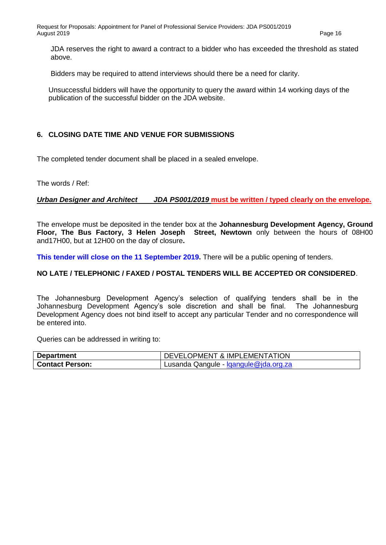JDA reserves the right to award a contract to a bidder who has exceeded the threshold as stated above.

Bidders may be required to attend interviews should there be a need for clarity.

Unsuccessful bidders will have the opportunity to query the award within 14 working days of the publication of the successful bidder on the JDA website.

#### **6. CLOSING DATE TIME AND VENUE FOR SUBMISSIONS**

The completed tender document shall be placed in a sealed envelope.

The words / Ref:

#### *Urban Designer and Architect JDA PS001/2019* **must be written / typed clearly on the envelope.**

The envelope must be deposited in the tender box at the **Johannesburg Development Agency, Ground Floor, The Bus Factory, 3 Helen Joseph Street, Newtown** only between the hours of 08H00 and17H00, but at 12H00 on the day of closure**.**

**This tender will close on the 11 September 2019.** There will be a public opening of tenders.

#### **NO LATE / TELEPHONIC / FAXED / POSTAL TENDERS WILL BE ACCEPTED OR CONSIDERED**.

The Johannesburg Development Agency's selection of qualifying tenders shall be in the Johannesburg Development Agency's sole discretion and shall be final. The Johannesburg Development Agency does not bind itself to accept any particular Tender and no correspondence will be entered into.

Queries can be addressed in writing to:

| <b>Department</b>      | DEVELOPMENT & IMPLEMENTATION          |
|------------------------|---------------------------------------|
| <b>Contact Person:</b> | Lusanda Qangule - Igangule@jda.org.za |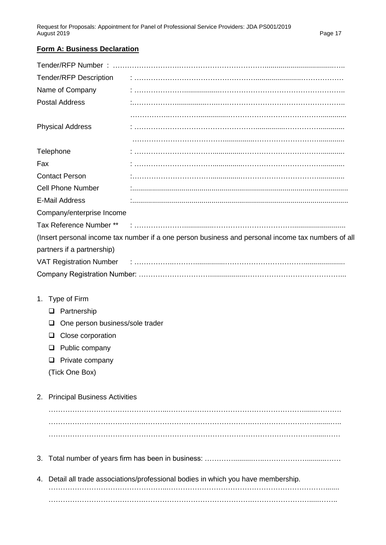# **Form A: Business Declaration**

| <b>Tender/RFP Description</b>              |                                                                                                    |
|--------------------------------------------|----------------------------------------------------------------------------------------------------|
| Name of Company                            |                                                                                                    |
| <b>Postal Address</b>                      |                                                                                                    |
|                                            |                                                                                                    |
| <b>Physical Address</b>                    |                                                                                                    |
|                                            |                                                                                                    |
| Telephone                                  |                                                                                                    |
| Fax                                        |                                                                                                    |
| <b>Contact Person</b>                      |                                                                                                    |
| <b>Cell Phone Number</b>                   |                                                                                                    |
| <b>E-Mail Address</b>                      |                                                                                                    |
| Company/enterprise Income                  |                                                                                                    |
|                                            |                                                                                                    |
|                                            | (Insert personal income tax number if a one person business and personal income tax numbers of all |
| partners if a partnership)                 |                                                                                                    |
|                                            |                                                                                                    |
|                                            |                                                                                                    |
|                                            |                                                                                                    |
| 1. Type of Firm                            |                                                                                                    |
| $\Box$ Partnership                         |                                                                                                    |
| One person business/sole trader<br>❏       |                                                                                                    |
| Close corporation<br>❏                     |                                                                                                    |
| Public company<br>$\Box$                   |                                                                                                    |
| Private company<br>u                       |                                                                                                    |
| (Tick One Box)                             |                                                                                                    |
|                                            |                                                                                                    |
| <b>Principal Business Activities</b><br>2. |                                                                                                    |
|                                            |                                                                                                    |
|                                            |                                                                                                    |
|                                            |                                                                                                    |
|                                            |                                                                                                    |
| 3.                                         |                                                                                                    |
|                                            |                                                                                                    |
|                                            | 4. Detail all trade associations/professional bodies in which you have membership.                 |
|                                            |                                                                                                    |
|                                            |                                                                                                    |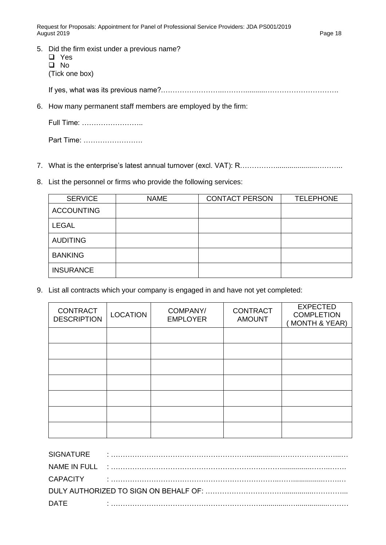- 5. Did the firm exist under a previous name?
	- Yes  $\Box$  No (Tick one box)

If yes, what was its previous name?.……………………..………..........………………………….

6. How many permanent staff members are employed by the firm:

|  | Full Time: |
|--|------------|
|--|------------|

Part Time: …………………….

- 7. What is the enterprise's latest annual turnover (excl. VAT): R………………………………………
- 8. List the personnel or firms who provide the following services:

| <b>SERVICE</b>    | <b>NAME</b> | <b>CONTACT PERSON</b> | <b>TELEPHONE</b> |
|-------------------|-------------|-----------------------|------------------|
| <b>ACCOUNTING</b> |             |                       |                  |
| <b>LEGAL</b>      |             |                       |                  |
| <b>AUDITING</b>   |             |                       |                  |
| <b>BANKING</b>    |             |                       |                  |
| <b>INSURANCE</b>  |             |                       |                  |

9. List all contracts which your company is engaged in and have not yet completed:

| <b>CONTRACT</b><br><b>DESCRIPTION</b> | <b>LOCATION</b> | COMPANY/<br><b>EMPLOYER</b> | <b>CONTRACT</b><br><b>AMOUNT</b> | <b>EXPECTED</b><br><b>COMPLETION</b><br><b>MONTH &amp; YEAR)</b> |
|---------------------------------------|-----------------|-----------------------------|----------------------------------|------------------------------------------------------------------|
|                                       |                 |                             |                                  |                                                                  |
|                                       |                 |                             |                                  |                                                                  |
|                                       |                 |                             |                                  |                                                                  |
|                                       |                 |                             |                                  |                                                                  |
|                                       |                 |                             |                                  |                                                                  |
|                                       |                 |                             |                                  |                                                                  |
|                                       |                 |                             |                                  |                                                                  |

| <b>SIGNATURE</b> |              |  |
|------------------|--------------|--|
|                  |              |  |
|                  |              |  |
|                  |              |  |
| <b>DATE</b>      | $\mathbf{r}$ |  |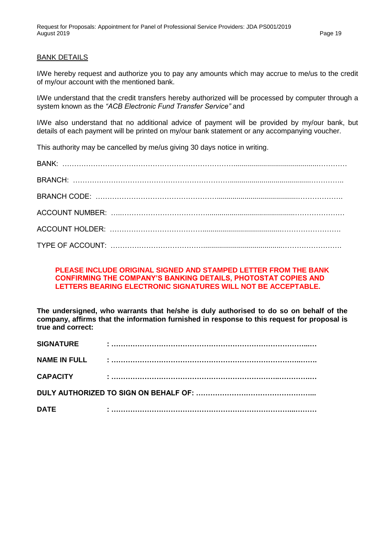#### BANK DETAILS

I/We hereby request and authorize you to pay any amounts which may accrue to me/us to the credit of my/our account with the mentioned bank.

I/We understand that the credit transfers hereby authorized will be processed by computer through a system known as the *"ACB Electronic Fund Transfer Service"* and

I/We also understand that no additional advice of payment will be provided by my/our bank, but details of each payment will be printed on my/our bank statement or any accompanying voucher.

This authority may be cancelled by me/us giving 30 days notice in writing.

#### **PLEASE INCLUDE ORIGINAL SIGNED AND STAMPED LETTER FROM THE BANK CONFIRMING THE COMPANY'S BANKING DETAILS, PHOTOSTAT COPIES AND LETTERS BEARING ELECTRONIC SIGNATURES WILL NOT BE ACCEPTABLE.**

**The undersigned, who warrants that he/she is duly authorised to do so on behalf of the company, affirms that the information furnished in response to this request for proposal is true and correct:**

| <b>SIGNATURE</b>    |  |  |
|---------------------|--|--|
| <b>NAME IN FULL</b> |  |  |
| <b>CAPACITY</b>     |  |  |
|                     |  |  |
| <b>DATE</b>         |  |  |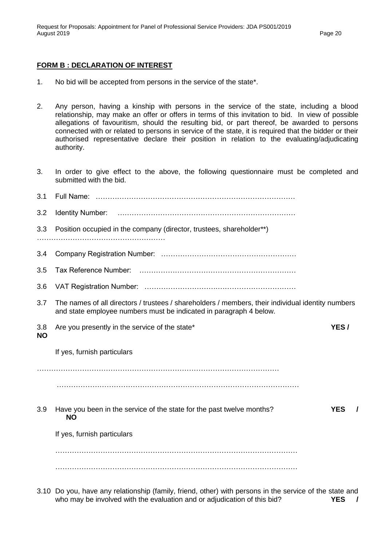#### **FORM B : DECLARATION OF INTEREST**

- 1. No bid will be accepted from persons in the service of the state\*.
- 2. Any person, having a kinship with persons in the service of the state, including a blood relationship, may make an offer or offers in terms of this invitation to bid. In view of possible allegations of favouritism, should the resulting bid, or part thereof, be awarded to persons connected with or related to persons in service of the state, it is required that the bidder or their authorised representative declare their position in relation to the evaluating/adjudicating authority.
- 3. In order to give effect to the above, the following questionnaire must be completed and submitted with the bid.

| 3.1              |                                                                                                                                                                         |            |          |
|------------------|-------------------------------------------------------------------------------------------------------------------------------------------------------------------------|------------|----------|
| 3.2              | Identity Number:                                                                                                                                                        |            |          |
| 3.3              | Position occupied in the company (director, trustees, shareholder**)                                                                                                    |            |          |
| 3.4              |                                                                                                                                                                         |            |          |
| 3.5              |                                                                                                                                                                         |            |          |
| 3.6              |                                                                                                                                                                         |            |          |
| 3.7              | The names of all directors / trustees / shareholders / members, their individual identity numbers<br>and state employee numbers must be indicated in paragraph 4 below. |            |          |
| 3.8<br><b>NO</b> | Are you presently in the service of the state*                                                                                                                          | YES/       |          |
|                  | If yes, furnish particulars                                                                                                                                             |            |          |
|                  |                                                                                                                                                                         |            |          |
| 3.9              | Have you been in the service of the state for the past twelve months?<br><b>NO</b>                                                                                      | <b>YES</b> | $\prime$ |
|                  | If yes, furnish particulars                                                                                                                                             |            |          |
|                  |                                                                                                                                                                         |            |          |
|                  |                                                                                                                                                                         |            |          |
|                  | 3.10 Do you, have any relationship (family, friend, other) with persons in the service of the state and                                                                 |            |          |

who may be involved with the evaluation and or adjudication of this bid? **YES** /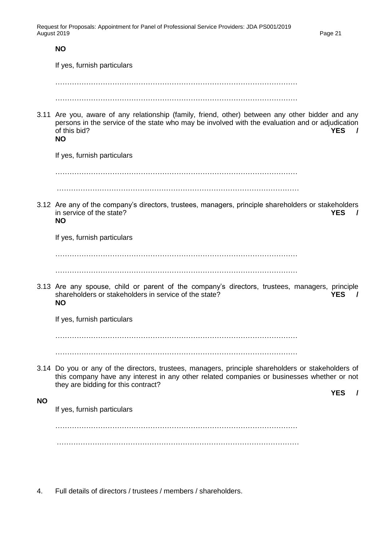|           | <b>NO</b>                                                                                                                                                                                                                                                  |
|-----------|------------------------------------------------------------------------------------------------------------------------------------------------------------------------------------------------------------------------------------------------------------|
|           | If yes, furnish particulars                                                                                                                                                                                                                                |
|           |                                                                                                                                                                                                                                                            |
|           |                                                                                                                                                                                                                                                            |
|           | 3.11 Are you, aware of any relationship (family, friend, other) between any other bidder and any<br>persons in the service of the state who may be involved with the evaluation and or adjudication<br>of this bid?<br><b>YES</b><br>$\prime$<br><b>NO</b> |
|           | If yes, furnish particulars                                                                                                                                                                                                                                |
|           |                                                                                                                                                                                                                                                            |
|           | 3.12 Are any of the company's directors, trustees, managers, principle shareholders or stakeholders<br>in service of the state?<br><b>YES</b><br><b>NO</b>                                                                                                 |
|           | If yes, furnish particulars                                                                                                                                                                                                                                |
|           |                                                                                                                                                                                                                                                            |
|           | 3.13 Are any spouse, child or parent of the company's directors, trustees, managers, principle<br>shareholders or stakeholders in service of the state?<br><b>YES</b><br>$\prime$<br><b>NO</b>                                                             |
|           | If yes, furnish particulars                                                                                                                                                                                                                                |
|           |                                                                                                                                                                                                                                                            |
|           |                                                                                                                                                                                                                                                            |
|           | 3.14 Do you or any of the directors, trustees, managers, principle shareholders or stakeholders of<br>this company have any interest in any other related companies or businesses whether or not<br>they are bidding for this contract?                    |
| <b>NO</b> | <b>YES</b>                                                                                                                                                                                                                                                 |
|           | If yes, furnish particulars                                                                                                                                                                                                                                |
|           |                                                                                                                                                                                                                                                            |
|           |                                                                                                                                                                                                                                                            |
|           |                                                                                                                                                                                                                                                            |

4. Full details of directors / trustees / members / shareholders.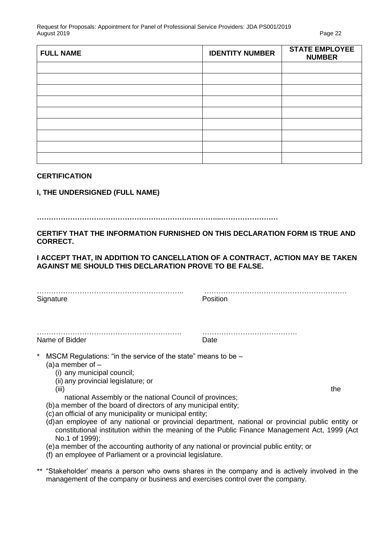| <b>FULL NAME</b> | <b>IDENTITY NUMBER</b> | <b>STATE EMPLOYEE</b><br><b>NUMBER</b> |
|------------------|------------------------|----------------------------------------|
|                  |                        |                                        |
|                  |                        |                                        |
|                  |                        |                                        |
|                  |                        |                                        |
|                  |                        |                                        |
|                  |                        |                                        |
|                  |                        |                                        |
|                  |                        |                                        |
|                  |                        |                                        |

#### **CERTIFICATION**

#### **I, THE UNDERSIGNED (FULL NAME)**

#### **…………………………………………………………………...……………………**

#### **CERTIFY THAT THE INFORMATION FURNISHED ON THIS DECLARATION FORM IS TRUE AND CORRECT.**

#### **I ACCEPT THAT, IN ADDITION TO CANCELLATION OF A CONTRACT, ACTION MAY BE TAKEN AGAINST ME SHOULD THIS DECLARATION PROVE TO BE FALSE.**

| Signature                                                                                                                                                                     | Position |
|-------------------------------------------------------------------------------------------------------------------------------------------------------------------------------|----------|
| Name of Bidder                                                                                                                                                                | Date     |
| $\star$<br>MSCM Regulations: "in the service of the state" means to be -<br>(a) a member of $-$<br>(i) any municipal council;<br>(ii) any provincial legislature; or<br>(iii) |          |

- national Assembly or the national Council of provinces;
- (b)a member of the board of directors of any municipal entity;
- (c)an official of any municipality or municipal entity;
- (d)an employee of any national or provincial department, national or provincial public entity or constitutional institution within the meaning of the Public Finance Management Act, 1999 (Act No.1 of 1999);
- (e)a member of the accounting authority of any national or provincial public entity; or
- (f) an employee of Parliament or a provincial legislature.
- \*\* "Stakeholder' means a person who owns shares in the company and is actively involved in the management of the company or business and exercises control over the company.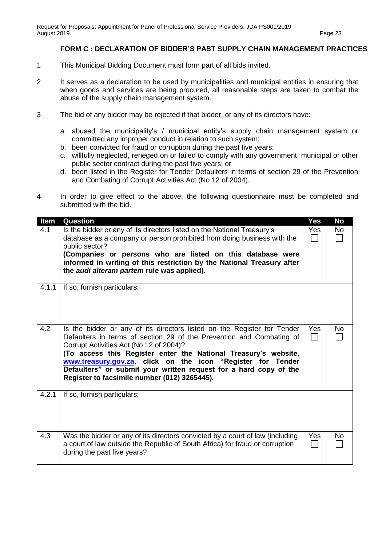#### **FORM C : DECLARATION OF BIDDER'S PAST SUPPLY CHAIN MANAGEMENT PRACTICES**

- 1 This Municipal Bidding Document must form part of all bids invited.
- 2 It serves as a declaration to be used by municipalities and municipal entities in ensuring that when goods and services are being procured, all reasonable steps are taken to combat the abuse of the supply chain management system.
- 3 The bid of any bidder may be rejected if that bidder, or any of its directors have:
	- a. abused the municipality's / municipal entity's supply chain management system or committed any improper conduct in relation to such system;
	- b. been convicted for fraud or corruption during the past five years;
	- c. willfully neglected, reneged on or failed to comply with any government, municipal or other public sector contract during the past five years; or
	- d. been listed in the Register for Tender Defaulters in terms of section 29 of the Prevention and Combating of Corrupt Activities Act (No 12 of 2004).
- 4 In order to give effect to the above, the following questionnaire must be completed and submitted with the bid.

| <b>Item</b> | Question                                                                                                                                                                                                                                                                                                                                                                                                                                          | <b>Yes</b>       | <b>No</b> |
|-------------|---------------------------------------------------------------------------------------------------------------------------------------------------------------------------------------------------------------------------------------------------------------------------------------------------------------------------------------------------------------------------------------------------------------------------------------------------|------------------|-----------|
| 4.1         | Is the bidder or any of its directors listed on the National Treasury's<br>database as a company or person prohibited from doing business with the<br>public sector?<br>(Companies or persons who are listed on this database were<br>informed in writing of this restriction by the National Treasury after<br>the <i>audi alteram partem</i> rule was applied).                                                                                 | Yes              | <b>No</b> |
| 4.1.1       | If so, furnish particulars:                                                                                                                                                                                                                                                                                                                                                                                                                       |                  |           |
| 4.2         | Is the bidder or any of its directors listed on the Register for Tender<br>Defaulters in terms of section 29 of the Prevention and Combating of<br>Corrupt Activities Act (No 12 of 2004)?<br>(To access this Register enter the National Treasury's website,<br>www.treasury.gov.za, click on the icon "Register for Tender<br>Defaulters" or submit your written request for a hard copy of the<br>Register to facsimile number (012) 3265445). | <b>Yes</b><br>I. | <b>No</b> |
| 4.2.1       | If so, furnish particulars:                                                                                                                                                                                                                                                                                                                                                                                                                       |                  |           |
| 4.3         | Was the bidder or any of its directors convicted by a court of law (including<br>a court of law outside the Republic of South Africa) for fraud or corruption<br>during the past five years?                                                                                                                                                                                                                                                      | Yes              | No        |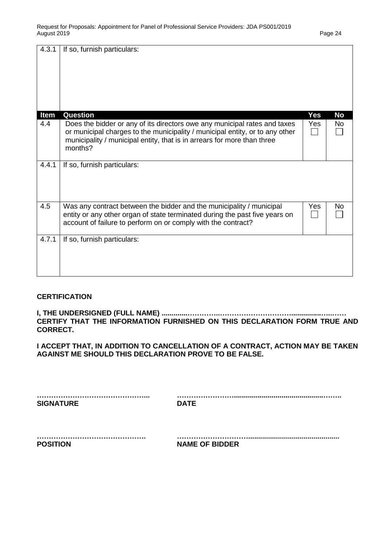| 4.3.1 | If so, furnish particulars:                                                                                                                                                                                                                     |            |           |
|-------|-------------------------------------------------------------------------------------------------------------------------------------------------------------------------------------------------------------------------------------------------|------------|-----------|
| Item  | Question                                                                                                                                                                                                                                        | <b>Yes</b> | <b>No</b> |
| 4.4   | Does the bidder or any of its directors owe any municipal rates and taxes<br>or municipal charges to the municipality / municipal entity, or to any other<br>municipality / municipal entity, that is in arrears for more than three<br>months? | Yes        | No        |
| 4.4.1 | If so, furnish particulars:                                                                                                                                                                                                                     |            |           |
| 4.5   | Was any contract between the bidder and the municipality / municipal<br>entity or any other organ of state terminated during the past five years on<br>account of failure to perform on or comply with the contract?                            | Yes        | No        |
| 4.7.1 | If so, furnish particulars:                                                                                                                                                                                                                     |            |           |

#### **CERTIFICATION**

**I, THE UNDERSIGNED (FULL NAME) .............…………..…………………………...............…..…… CERTIFY THAT THE INFORMATION FURNISHED ON THIS DECLARATION FORM TRUE AND CORRECT.**

**I ACCEPT THAT, IN ADDITION TO CANCELLATION OF A CONTRACT, ACTION MAY BE TAKEN AGAINST ME SHOULD THIS DECLARATION PROVE TO BE FALSE.**

| <b>SIGNATURE</b> | <b>DATE</b> |
|------------------|-------------|
|                  |             |
|                  |             |
|                  |             |
|                  |             |
|                  |             |

| <b>POSITION</b> | <b>NAME OF BIDDER</b> |
|-----------------|-----------------------|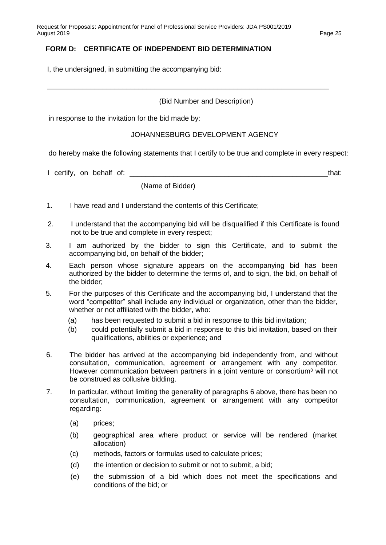### **FORM D: CERTIFICATE OF INDEPENDENT BID DETERMINATION**

I, the undersigned, in submitting the accompanying bid:

#### (Bid Number and Description)

\_\_\_\_\_\_\_\_\_\_\_\_\_\_\_\_\_\_\_\_\_\_\_\_\_\_\_\_\_\_\_\_\_\_\_\_\_\_\_\_\_\_\_\_\_\_\_\_\_\_\_\_\_\_\_\_\_\_\_\_\_\_\_\_\_\_\_\_\_\_\_

in response to the invitation for the bid made by:

#### JOHANNESBURG DEVELOPMENT AGENCY

do hereby make the following statements that I certify to be true and complete in every respect:

I certify, on behalf of: \_\_\_\_\_\_\_\_\_\_\_\_\_\_\_\_\_\_\_\_\_\_\_\_\_\_\_\_\_\_\_\_\_\_\_\_\_\_\_\_\_\_\_\_\_\_\_\_\_\_that:

(Name of Bidder)

- 1. I have read and I understand the contents of this Certificate;
- 2. I understand that the accompanying bid will be disqualified if this Certificate is found not to be true and complete in every respect;
- 3. I am authorized by the bidder to sign this Certificate, and to submit the accompanying bid, on behalf of the bidder;
- 4. Each person whose signature appears on the accompanying bid has been authorized by the bidder to determine the terms of, and to sign, the bid, on behalf of the bidder;
- 5. For the purposes of this Certificate and the accompanying bid, I understand that the word "competitor" shall include any individual or organization, other than the bidder, whether or not affiliated with the bidder, who:
	- (a) has been requested to submit a bid in response to this bid invitation;
	- (b) could potentially submit a bid in response to this bid invitation, based on their qualifications, abilities or experience; and
- 6. The bidder has arrived at the accompanying bid independently from, and without consultation, communication, agreement or arrangement with any competitor. However communication between partners in a joint venture or consortium<sup>3</sup> will not be construed as collusive bidding.
- 7. In particular, without limiting the generality of paragraphs 6 above, there has been no consultation, communication, agreement or arrangement with any competitor regarding:
	- (a) prices;
	- (b) geographical area where product or service will be rendered (market allocation)
	- (c) methods, factors or formulas used to calculate prices;
	- (d) the intention or decision to submit or not to submit, a bid;
	- (e) the submission of a bid which does not meet the specifications and conditions of the bid; or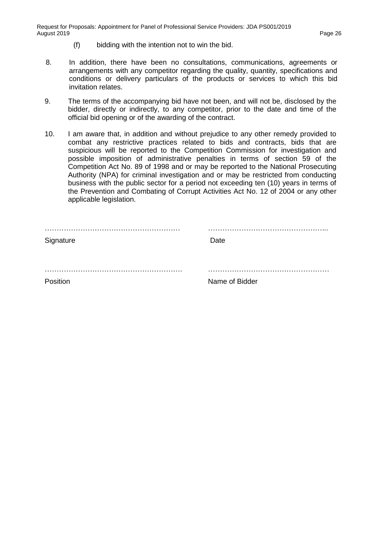- (f) bidding with the intention not to win the bid.
- 8. In addition, there have been no consultations, communications, agreements or arrangements with any competitor regarding the quality, quantity, specifications and conditions or delivery particulars of the products or services to which this bid invitation relates.
- 9. The terms of the accompanying bid have not been, and will not be, disclosed by the bidder, directly or indirectly, to any competitor, prior to the date and time of the official bid opening or of the awarding of the contract.
- 10. I am aware that, in addition and without prejudice to any other remedy provided to combat any restrictive practices related to bids and contracts, bids that are suspicious will be reported to the Competition Commission for investigation and possible imposition of administrative penalties in terms of section 59 of the Competition Act No. 89 of 1998 and or may be reported to the National Prosecuting Authority (NPA) for criminal investigation and or may be restricted from conducting business with the public sector for a period not exceeding ten (10) years in terms of the Prevention and Combating of Corrupt Activities Act No. 12 of 2004 or any other applicable legislation.

| <br>Signature | .<br>Date      |
|---------------|----------------|
|               |                |
| Position      | Name of Bidder |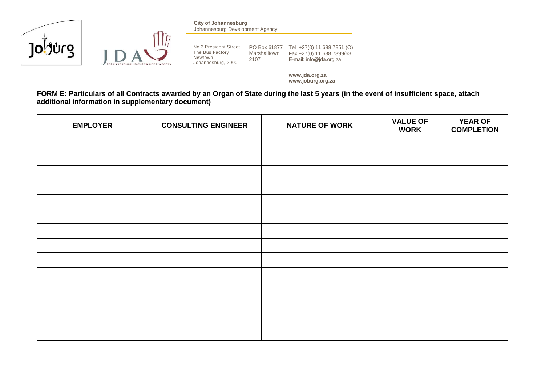



**City of Johannesburg** Johannesburg Development Agency

The Bus Factory Newtown Johannesburg, 2000 Marshalltown 2107

No 3 President Street PO Box 61877 Tel +27(0) 11 688 7851 (O) Fax +27(0) 11 688 7899/63 E-mail: info@jda.org.za

> **www.jda.org.za www.joburg.org.za**

**FORM E: Particulars of all Contracts awarded by an Organ of State during the last 5 years (in the event of insufficient space, attach additional information in supplementary document)**

| <b>EMPLOYER</b> | <b>CONSULTING ENGINEER</b> | <b>NATURE OF WORK</b> | <b>VALUE OF</b><br><b>WORK</b> | <b>YEAR OF</b><br><b>COMPLETION</b> |
|-----------------|----------------------------|-----------------------|--------------------------------|-------------------------------------|
|                 |                            |                       |                                |                                     |
|                 |                            |                       |                                |                                     |
|                 |                            |                       |                                |                                     |
|                 |                            |                       |                                |                                     |
|                 |                            |                       |                                |                                     |
|                 |                            |                       |                                |                                     |
|                 |                            |                       |                                |                                     |
|                 |                            |                       |                                |                                     |
|                 |                            |                       |                                |                                     |
|                 |                            |                       |                                |                                     |
|                 |                            |                       |                                |                                     |
|                 |                            |                       |                                |                                     |
|                 |                            |                       |                                |                                     |
|                 |                            |                       |                                |                                     |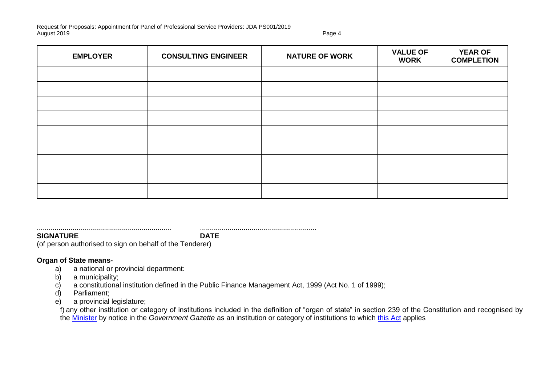| <b>EMPLOYER</b> | <b>CONSULTING ENGINEER</b> | <b>NATURE OF WORK</b> | <b>VALUE OF</b><br><b>WORK</b> | <b>YEAR OF</b><br><b>COMPLETION</b> |
|-----------------|----------------------------|-----------------------|--------------------------------|-------------------------------------|
|                 |                            |                       |                                |                                     |
|                 |                            |                       |                                |                                     |
|                 |                            |                       |                                |                                     |
|                 |                            |                       |                                |                                     |
|                 |                            |                       |                                |                                     |
|                 |                            |                       |                                |                                     |
|                 |                            |                       |                                |                                     |
|                 |                            |                       |                                |                                     |
|                 |                            |                       |                                |                                     |

**SIGNATURE DATE**

.................................................................... ...........................................................

(of person authorised to sign on behalf of the Tenderer)

#### **Organ of State means-**

- a) a national or provincial department:
- b) a municipality;
- c) a constitutional institution defined in the Public Finance Management Act, 1999 (Act No. 1 of 1999);
- d) Parliament;
- e) a provincial legislature;

f) any other institution or category of institutions included in the definition of "organ of state" in section 239 of the Constitution and recognised by the [Minister](javascript:void(0);) by notice in the *Government Gazette* as an institution or category of institutions to which [this Act](javascript:void(0);) applies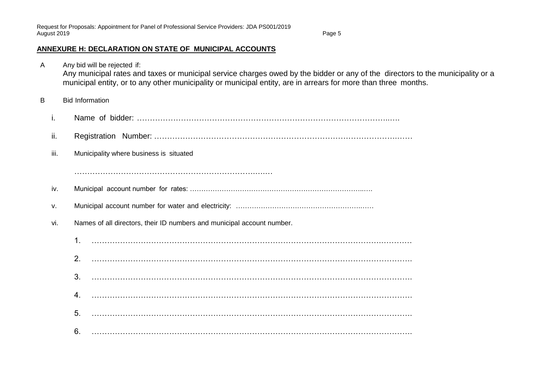### **ANNEXURE H: DECLARATION ON STATE OF MUNICIPAL ACCOUNTS**

A Any bid will be rejected if: Any municipal rates and taxes or municipal service charges owed by the bidder or any of the directors to the municipality or a municipal entity, or to any other municipality or municipal entity, are in arrears for more than three months. B Bid Information i. Name of bidder: ……………………………………………………………………………………..…. ii. Registration Number: ………………………………………………………………………………….…… iii. Municipality where business is situated …………………………………………………………….….… iv. Municipal account number for rates: …………………………………………………………………..…. v. Municipal account number for water and electricity: ……………………………………………….…… vi. Names of all directors, their ID numbers and municipal account number. 1. ………………………………………………………………………………………………….………… 2. ……………………………………………………………………………………………………………. 3. ……………………………………………………………………………………………………………. 4. ……………………………………………………………………………………………………………. 5. ……………………………………………………………………………………………………………. 6. …………………………………………………………………………………………………………….